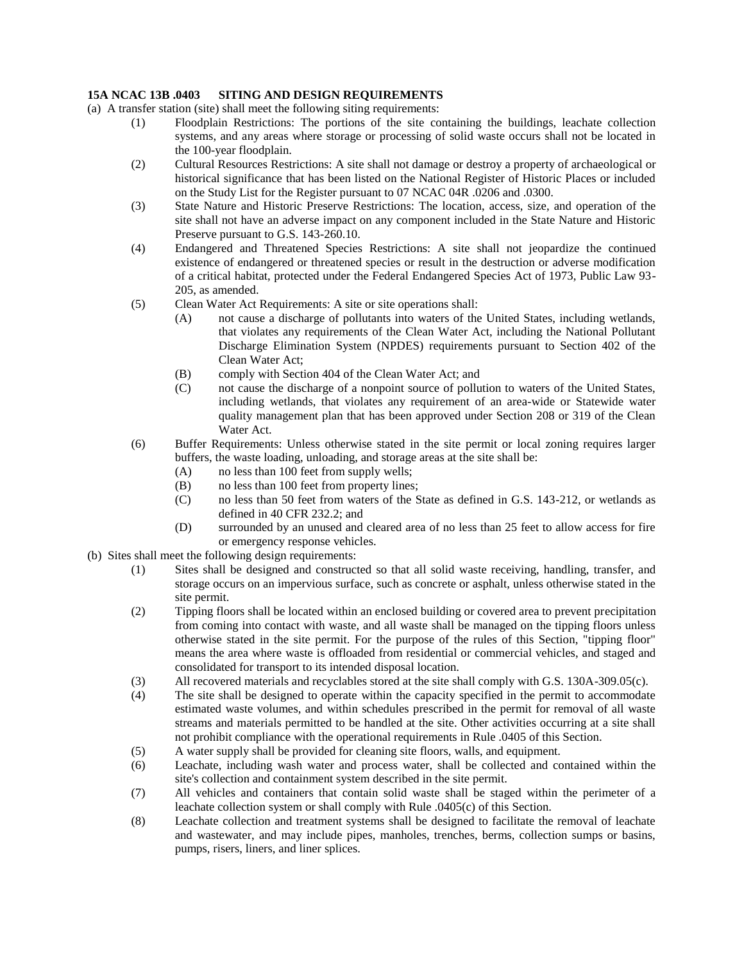## **15A NCAC 13B .0403 SITING AND DESIGN REQUIREMENTS**

- (a) A transfer station (site) shall meet the following siting requirements:
	- (1) Floodplain Restrictions: The portions of the site containing the buildings, leachate collection systems, and any areas where storage or processing of solid waste occurs shall not be located in the 100-year floodplain.
	- (2) Cultural Resources Restrictions: A site shall not damage or destroy a property of archaeological or historical significance that has been listed on the National Register of Historic Places or included on the Study List for the Register pursuant to 07 NCAC 04R .0206 and .0300.
	- (3) State Nature and Historic Preserve Restrictions: The location, access, size, and operation of the site shall not have an adverse impact on any component included in the State Nature and Historic Preserve pursuant to G.S. 143-260.10.
	- (4) Endangered and Threatened Species Restrictions: A site shall not jeopardize the continued existence of endangered or threatened species or result in the destruction or adverse modification of a critical habitat, protected under the Federal Endangered Species Act of 1973, Public Law 93- 205, as amended.
	- (5) Clean Water Act Requirements: A site or site operations shall:
		- (A) not cause a discharge of pollutants into waters of the United States, including wetlands, that violates any requirements of the Clean Water Act, including the National Pollutant Discharge Elimination System (NPDES) requirements pursuant to Section 402 of the Clean Water Act;
		- (B) comply with Section 404 of the Clean Water Act; and
		- (C) not cause the discharge of a nonpoint source of pollution to waters of the United States, including wetlands, that violates any requirement of an area-wide or Statewide water quality management plan that has been approved under Section 208 or 319 of the Clean Water Act.
	- (6) Buffer Requirements: Unless otherwise stated in the site permit or local zoning requires larger buffers, the waste loading, unloading, and storage areas at the site shall be:
		- (A) no less than 100 feet from supply wells;
		- (B) no less than 100 feet from property lines;
		- (C) no less than 50 feet from waters of the State as defined in G.S. 143-212, or wetlands as defined in 40 CFR 232.2; and
		- (D) surrounded by an unused and cleared area of no less than 25 feet to allow access for fire or emergency response vehicles.
- (b) Sites shall meet the following design requirements:
	- (1) Sites shall be designed and constructed so that all solid waste receiving, handling, transfer, and storage occurs on an impervious surface, such as concrete or asphalt, unless otherwise stated in the site permit.
	- (2) Tipping floors shall be located within an enclosed building or covered area to prevent precipitation from coming into contact with waste, and all waste shall be managed on the tipping floors unless otherwise stated in the site permit. For the purpose of the rules of this Section, "tipping floor" means the area where waste is offloaded from residential or commercial vehicles, and staged and consolidated for transport to its intended disposal location.
	- (3) All recovered materials and recyclables stored at the site shall comply with G.S. 130A-309.05(c).
	- (4) The site shall be designed to operate within the capacity specified in the permit to accommodate estimated waste volumes, and within schedules prescribed in the permit for removal of all waste streams and materials permitted to be handled at the site. Other activities occurring at a site shall not prohibit compliance with the operational requirements in Rule .0405 of this Section.
	- (5) A water supply shall be provided for cleaning site floors, walls, and equipment.
	- (6) Leachate, including wash water and process water, shall be collected and contained within the site's collection and containment system described in the site permit.
	- (7) All vehicles and containers that contain solid waste shall be staged within the perimeter of a leachate collection system or shall comply with Rule .0405(c) of this Section.
	- (8) Leachate collection and treatment systems shall be designed to facilitate the removal of leachate and wastewater, and may include pipes, manholes, trenches, berms, collection sumps or basins, pumps, risers, liners, and liner splices.